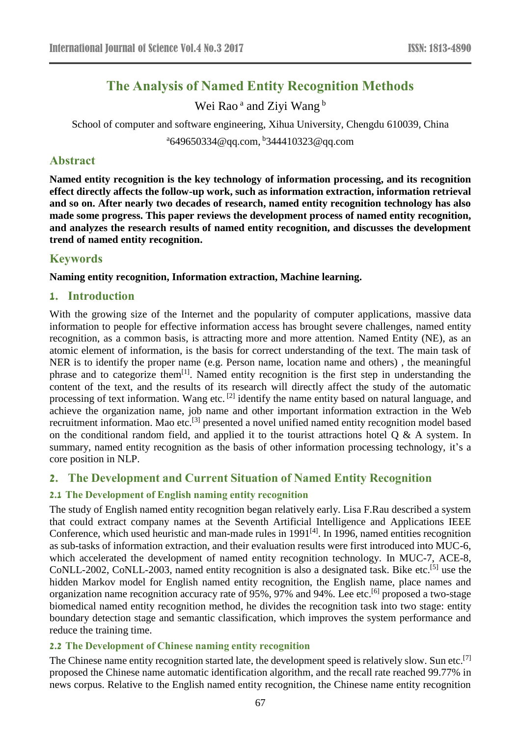# **The Analysis of Named Entity Recognition Methods**

Wei Rao<sup>a</sup> and Ziyi Wang<sup>b</sup>

School of computer and software engineering, Xihua University, Chengdu 610039, China

<sup>a</sup>649650334@qq.com, <sup>b</sup>344410323@qq.com

### **Abstract**

**Named entity recognition is the key technology of information processing, and its recognition effect directly affects the follow-up work, such as information extraction, information retrieval and so on. After nearly two decades of research, named entity recognition technology has also made some progress. This paper reviews the development process of named entity recognition, and analyzes the research results of named entity recognition, and discusses the development trend of named entity recognition.**

# **Keywords**

### **Naming entity recognition, Information extraction, Machine learning.**

### **1. Introduction**

With the growing size of the Internet and the popularity of computer applications, massive data information to people for effective information access has brought severe challenges, named entity recognition, as a common basis, is attracting more and more attention. Named Entity (NE), as an atomic element of information, is the basis for correct understanding of the text. The main task of NER is to identify the proper name (e.g. Person name, location name and others) , the meaningful phrase and to categorize them<sup>[1]</sup>. Named entity recognition is the first step in understanding the content of the text, and the results of its research will directly affect the study of the automatic processing of text information. Wang etc.<sup>[2]</sup> identify the name entity based on natural language, and achieve the organization name, job name and other important information extraction in the Web recruitment information. Mao etc.<sup>[3]</sup> presented a novel unified named entity recognition model based on the conditional random field, and applied it to the tourist attractions hotel  $Q \& A$  system. In summary, named entity recognition as the basis of other information processing technology, it's a core position in NLP.

# **2. The Development and Current Situation of Named Entity Recognition**

# **2.1 The Development of English naming entity recognition**

The study of English named entity recognition began relatively early. Lisa F.Rau described a system that could extract company names at the Seventh Artificial Intelligence and Applications IEEE Conference, which used heuristic and man-made rules in 1991<sup>[4]</sup>. In 1996, named entities recognition as sub-tasks of information extraction, and their evaluation results were first introduced into MUC-6, which accelerated the development of named entity recognition technology. In MUC-7, ACE-8, CoNLL-2002, CoNLL-2003, named entity recognition is also a designated task. Bike etc.<sup>[5]</sup> use the hidden Markov model for English named entity recognition, the English name, place names and organization name recognition accuracy rate of 95%, 97% and 94%. Lee etc.<sup>[6]</sup> proposed a two-stage biomedical named entity recognition method, he divides the recognition task into two stage: entity boundary detection stage and semantic classification, which improves the system performance and reduce the training time.

### **2.2 The Development of Chinese naming entity recognition**

The Chinese name entity recognition started late, the development speed is relatively slow. Sun etc.<sup>[7]</sup> proposed the Chinese name automatic identification algorithm, and the recall rate reached 99.77% in news corpus. Relative to the English named entity recognition, the Chinese name entity recognition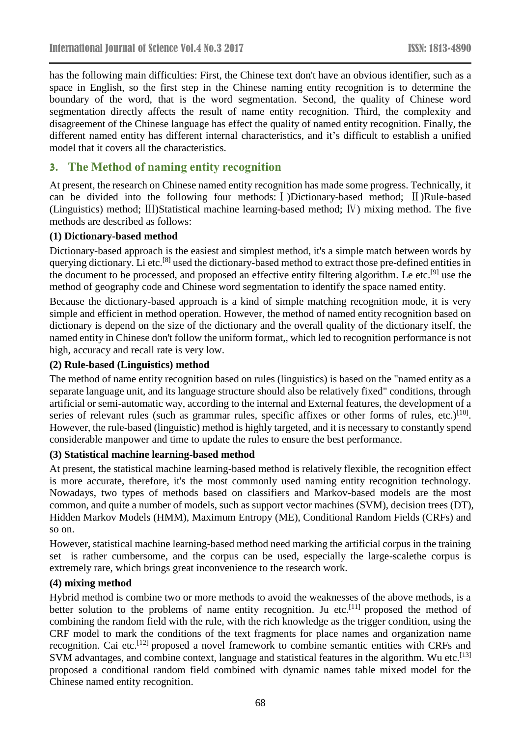has the following main difficulties: First, the Chinese text don't have an obvious identifier, such as a space in English, so the first step in the Chinese naming entity recognition is to determine the boundary of the word, that is the word segmentation. Second, the quality of Chinese word segmentation directly affects the result of name entity recognition. Third, the complexity and disagreement of the Chinese language has effect the quality of named entity recognition. Finally, the different named entity has different internal characteristics, and it's difficult to establish a unified model that it covers all the characteristics.

# **3. The Method of naming entity recognition**

At present, the research on Chinese named entity recognition has made some progress. Technically, it can be divided into the following four methods:Ⅰ)Dictionary-based method; Ⅱ)Rule-based (Linguistics) method; Ⅲ)Statistical machine learning-based method; Ⅳ) mixing method. The five methods are described as follows:

### **(1) Dictionary-based method**

Dictionary-based approach is the easiest and simplest method, it's a simple match between words by querying dictionary. Li etc.<sup>[8]</sup> used the dictionary-based method to extract those pre-defined entities in the document to be processed, and proposed an effective entity filtering algorithm. Le etc.[9] use the method of geography code and Chinese word segmentation to identify the space named entity.

Because the dictionary-based approach is a kind of simple matching recognition mode, it is very simple and efficient in method operation. However, the method of named entity recognition based on dictionary is depend on the size of the dictionary and the overall quality of the dictionary itself, the named entity in Chinese don't follow the uniform format,, which led to recognition performance is not high, accuracy and recall rate is very low.

### **(2) Rule-based (Linguistics) method**

The method of name entity recognition based on rules (linguistics) is based on the "named entity as a separate language unit, and its language structure should also be relatively fixed" conditions, through artificial or semi-automatic way, according to the internal and External features, the development of a series of relevant rules (such as grammar rules, specific affixes or other forms of rules, etc.)<sup>[10]</sup>. However, the rule-based (linguistic) method is highly targeted, and it is necessary to constantly spend considerable manpower and time to update the rules to ensure the best performance.

### **(3) Statistical machine learning-based method**

At present, the statistical machine learning-based method is relatively flexible, the recognition effect is more accurate, therefore, it's the most commonly used naming entity recognition technology. Nowadays, two types of methods based on classifiers and Markov-based models are the most common, and quite a number of models, such as support vector machines (SVM), decision trees (DT), Hidden Markov Models (HMM), Maximum Entropy (ME), Conditional Random Fields (CRFs) and so on.

However, statistical machine learning-based method need marking the artificial corpus in the training set is rather cumbersome, and the corpus can be used, especially the large-scalethe corpus is extremely rare, which brings great inconvenience to the research work.

### **(4) mixing method**

Hybrid method is combine two or more methods to avoid the weaknesses of the above methods, is a better solution to the problems of name entity recognition. Ju etc.<sup>[11]</sup> proposed the method of combining the random field with the rule, with the rich knowledge as the trigger condition, using the CRF model to mark the conditions of the text fragments for place names and organization name recognition. Cai etc.<sup>[12]</sup> proposed a novel framework to combine semantic entities with CRFs and SVM advantages, and combine context, language and statistical features in the algorithm. Wu etc.<sup>[13]</sup> proposed a conditional random field combined with dynamic names table mixed model for the Chinese named entity recognition.